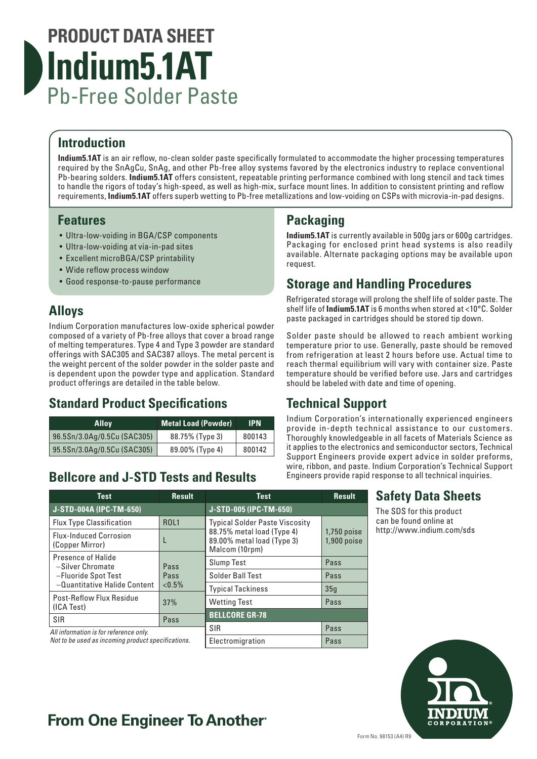# **PRODUCT DATA SHEET Indium5.1AT** Pb-Free Solder Paste

#### **Introduction**

**Indium5.1AT** is an air reflow, no-clean solder paste specifically formulated to accommodate the higher processing temperatures required by the SnAgCu, SnAg, and other Pb-free alloy systems favored by the electronics industry to replace conventional Pb-bearing solders. **Indium5.1AT** offers consistent, repeatable printing performance combined with long stencil and tack times to handle the rigors of today's high-speed, as well as high-mix, surface mount lines. In addition to consistent printing and reflow requirements, **Indium5.1AT** offers superb wetting to Pb-free metallizations and low-voiding on CSPs with microvia-in-pad designs.

#### **Features**

- Ultra-low-voiding in BGA/CSP components
- Ultra-low-voiding at via-in-pad sites
- Excellent microBGA/CSP printability
- Wide reflow process window
- Good response-to-pause performance

## **Alloys**

Indium Corporation manufactures low-oxide spherical powder composed of a variety of Pb-free alloys that cover a broad range of melting temperatures. Type 4 and Type 3 powder are standard offerings with SAC305 and SAC387 alloys. The metal percent is the weight percent of the solder powder in the solder paste and is dependent upon the powder type and application. Standard product offerings are detailed in the table below.

## **Standard Product Specifications**

| Allov                       | <b>Metal Load (Powder)</b> | IPN.   |
|-----------------------------|----------------------------|--------|
| 96.5Sn/3.0Ag/0.5Cu (SAC305) | 88.75% (Type 3)            | 800143 |
| 95.5Sn/3.0Ag/0.5Cu (SAC305) | 89.00% (Type 4)            | 800142 |

## **Bellcore and J-STD Tests and Results**

## **Packaging**

**Indium5.1AT** is currently available in 500g jars or 600g cartridges. Packaging for enclosed print head systems is also readily available. Alternate packaging options may be available upon request.

#### **Storage and Handling Procedures**

Refrigerated storage will prolong the shelf life of solder paste. The shelf life of **Indium5.1AT** is 6 months when stored at <10°C. Solder paste packaged in cartridges should be stored tip down.

Solder paste should be allowed to reach ambient working temperature prior to use. Generally, paste should be removed from refrigeration at least 2 hours before use. Actual time to reach thermal equilibrium will vary with container size. Paste temperature should be verified before use. Jars and cartridges should be labeled with date and time of opening.

## **Technical Support**

Indium Corporation's internationally experienced engineers provide in-depth technical assistance to our customers. Thoroughly knowledgeable in all facets of Materials Science as it applies to the electronics and semiconductor sectors, Technical Support Engineers provide expert advice in solder preforms, wire, ribbon, and paste. Indium Corporation's Technical Support Engineers provide rapid response to all technical inquiries.

| <b>Test</b>                                                                                   | <b>Result</b> | <b>Test</b>                                                                | <b>Result</b>                  |
|-----------------------------------------------------------------------------------------------|---------------|----------------------------------------------------------------------------|--------------------------------|
| <b>J-STD-004A (IPC-TM-650)</b>                                                                |               | J-STD-005 (IPC-TM-650)                                                     |                                |
| <b>Flux Type Classification</b>                                                               | <b>ROL1</b>   | <b>Typical Solder Paste Viscosity</b>                                      |                                |
| <b>Flux-Induced Corrosion</b><br>(Copper Mirror)                                              |               | 88.75% metal load (Type 4)<br>89.00% metal load (Type 3)<br>Malcom (10rpm) | $1,750$ poise<br>$1,900$ poise |
| Presence of Halide<br>-Silver Chromate<br>-Fluoride Spot Test<br>-Quantitative Halide Content | Pass<br>Pass  | <b>Slump Test</b>                                                          | Pass                           |
|                                                                                               |               | Solder Ball Test                                                           | Pass                           |
|                                                                                               | ${<}0.5\%$    | <b>Typical Tackiness</b>                                                   | 35q                            |
| <b>Post-Reflow Flux Residue</b><br>(ICA Test)                                                 | 37%           | <b>Wetting Test</b>                                                        | Pass                           |
| <b>SIR</b>                                                                                    | Pass          | <b>BELLCORE GR-78</b>                                                      |                                |
| All information is for reference only.<br>Not to be used as incoming product specifications.  |               | <b>SIR</b>                                                                 | Pass                           |
|                                                                                               |               | Electromigration                                                           | Pass                           |

#### **Safety Data Sheets**

The SDS for this product can be found online at http://www.indium.com/sds



## **From One Engineer To Another**®